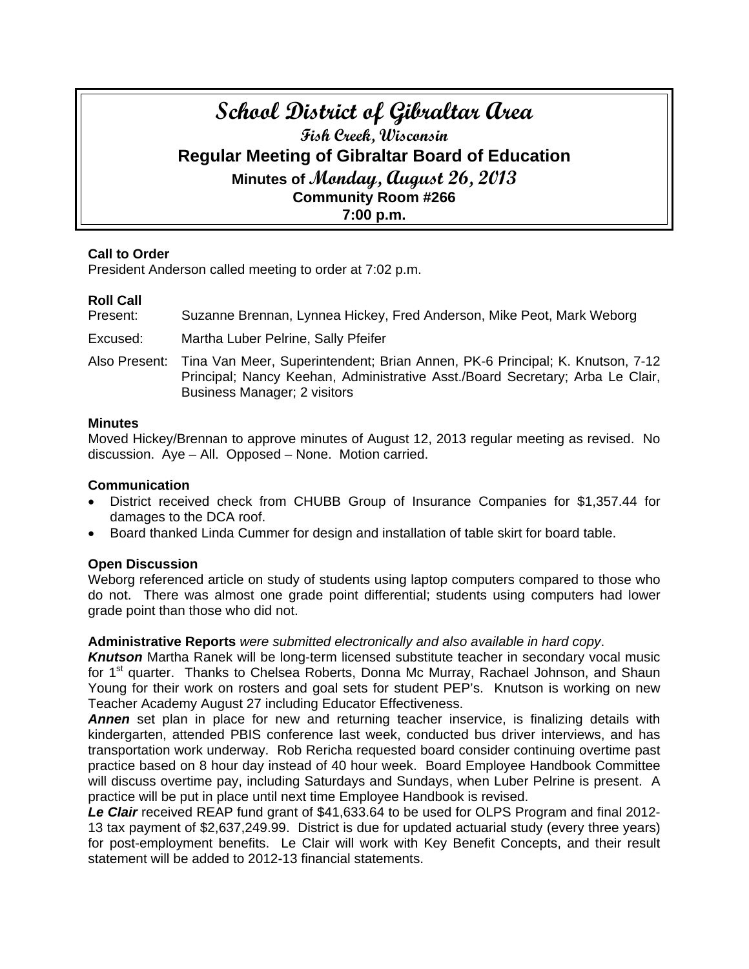# **School District of Gibraltar Area Fish Creek, Wisconsin Regular Meeting of Gibraltar Board of Education Minutes of Monday, August 26, 2013 Community Room #266 7:00 p.m.**

#### **Call to Order**

President Anderson called meeting to order at 7:02 p.m.

# **Roll Call**

Present: Suzanne Brennan, Lynnea Hickey, Fred Anderson, Mike Peot, Mark Weborg

Excused: Martha Luber Pelrine, Sally Pfeifer

Also Present: Tina Van Meer, Superintendent; Brian Annen, PK-6 Principal; K. Knutson, 7-12 Principal; Nancy Keehan, Administrative Asst./Board Secretary; Arba Le Clair, Business Manager; 2 visitors

#### **Minutes**

Moved Hickey/Brennan to approve minutes of August 12, 2013 regular meeting as revised. No discussion. Aye – All. Opposed – None. Motion carried.

#### **Communication**

- District received check from CHUBB Group of Insurance Companies for \$1,357.44 for damages to the DCA roof.
- Board thanked Linda Cummer for design and installation of table skirt for board table.

# **Open Discussion**

Weborg referenced article on study of students using laptop computers compared to those who do not. There was almost one grade point differential; students using computers had lower grade point than those who did not.

#### **Administrative Reports** *were submitted electronically and also available in hard copy*.

*Knutson* Martha Ranek will be long-term licensed substitute teacher in secondary vocal music for 1<sup>st</sup> quarter. Thanks to Chelsea Roberts, Donna Mc Murray, Rachael Johnson, and Shaun Young for their work on rosters and goal sets for student PEP's. Knutson is working on new Teacher Academy August 27 including Educator Effectiveness.

**Annen** set plan in place for new and returning teacher inservice, is finalizing details with kindergarten, attended PBIS conference last week, conducted bus driver interviews, and has transportation work underway. Rob Rericha requested board consider continuing overtime past practice based on 8 hour day instead of 40 hour week. Board Employee Handbook Committee will discuss overtime pay, including Saturdays and Sundays, when Luber Pelrine is present. A practice will be put in place until next time Employee Handbook is revised.

*Le Clair* received REAP fund grant of \$41,633.64 to be used for OLPS Program and final 2012- 13 tax payment of \$2,637,249.99. District is due for updated actuarial study (every three years) for post-employment benefits. Le Clair will work with Key Benefit Concepts, and their result statement will be added to 2012-13 financial statements.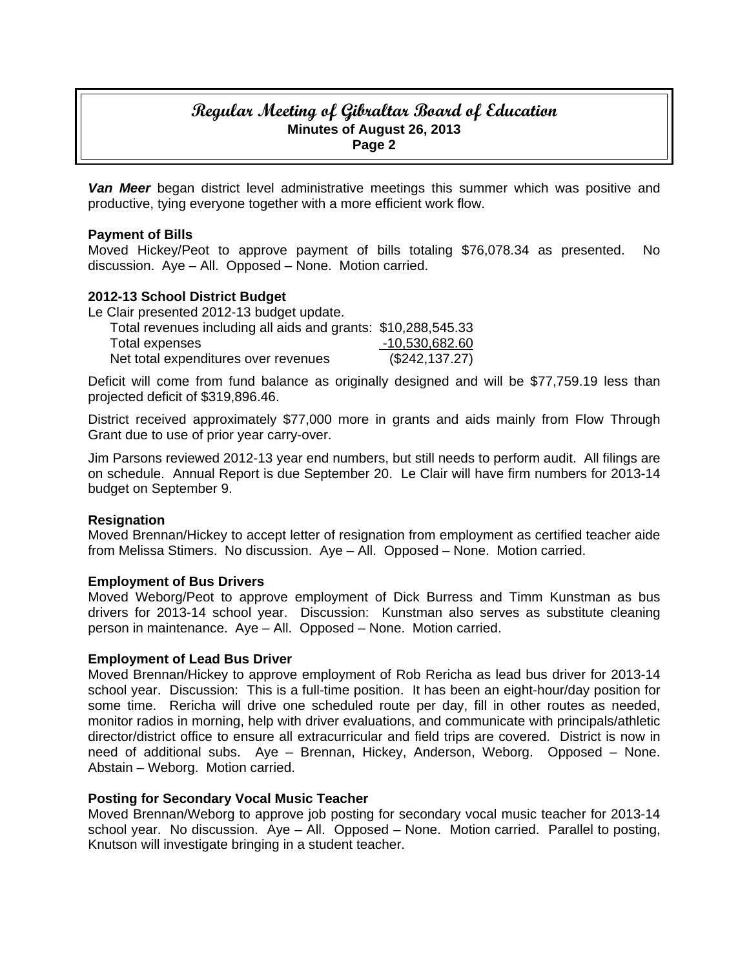# **Regular Meeting of Gibraltar Board of Education Minutes of August 26, 2013 Page 2**

*Van Meer* began district level administrative meetings this summer which was positive and productive, tying everyone together with a more efficient work flow.

#### **Payment of Bills**

Moved Hickey/Peot to approve payment of bills totaling \$76,078.34 as presented. No discussion. Aye – All. Opposed – None. Motion carried.

#### **2012-13 School District Budget**

Le Clair presented 2012-13 budget update.

| Total revenues including all aids and grants: \$10,288,545.33 |                |
|---------------------------------------------------------------|----------------|
| Total expenses                                                | -10,530,682.60 |
| Net total expenditures over revenues                          | (\$242,137.27) |

Deficit will come from fund balance as originally designed and will be \$77,759.19 less than projected deficit of \$319,896.46.

District received approximately \$77,000 more in grants and aids mainly from Flow Through Grant due to use of prior year carry-over.

Jim Parsons reviewed 2012-13 year end numbers, but still needs to perform audit. All filings are on schedule. Annual Report is due September 20. Le Clair will have firm numbers for 2013-14 budget on September 9.

#### **Resignation**

Moved Brennan/Hickey to accept letter of resignation from employment as certified teacher aide from Melissa Stimers. No discussion. Aye – All. Opposed – None. Motion carried.

#### **Employment of Bus Drivers**

Moved Weborg/Peot to approve employment of Dick Burress and Timm Kunstman as bus drivers for 2013-14 school year. Discussion: Kunstman also serves as substitute cleaning person in maintenance. Aye – All. Opposed – None. Motion carried.

#### **Employment of Lead Bus Driver**

Moved Brennan/Hickey to approve employment of Rob Rericha as lead bus driver for 2013-14 school year. Discussion: This is a full-time position. It has been an eight-hour/day position for some time. Rericha will drive one scheduled route per day, fill in other routes as needed, monitor radios in morning, help with driver evaluations, and communicate with principals/athletic director/district office to ensure all extracurricular and field trips are covered. District is now in need of additional subs. Aye – Brennan, Hickey, Anderson, Weborg. Opposed – None. Abstain – Weborg. Motion carried.

#### **Posting for Secondary Vocal Music Teacher**

Moved Brennan/Weborg to approve job posting for secondary vocal music teacher for 2013-14 school year. No discussion. Aye – All. Opposed – None. Motion carried. Parallel to posting, Knutson will investigate bringing in a student teacher.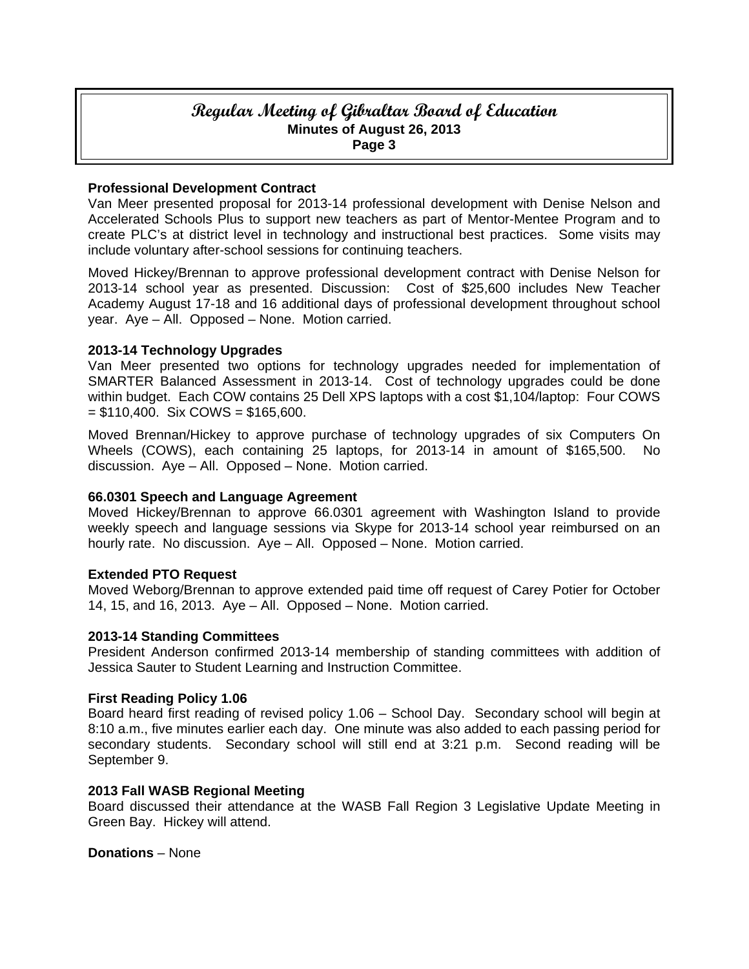# **Regular Meeting of Gibraltar Board of Education Minutes of August 26, 2013 Page 3**

#### **Professional Development Contract**

Van Meer presented proposal for 2013-14 professional development with Denise Nelson and Accelerated Schools Plus to support new teachers as part of Mentor-Mentee Program and to create PLC's at district level in technology and instructional best practices. Some visits may include voluntary after-school sessions for continuing teachers.

Moved Hickey/Brennan to approve professional development contract with Denise Nelson for 2013-14 school year as presented. Discussion: Cost of \$25,600 includes New Teacher Academy August 17-18 and 16 additional days of professional development throughout school year. Aye – All. Opposed – None. Motion carried.

#### **2013-14 Technology Upgrades**

Van Meer presented two options for technology upgrades needed for implementation of SMARTER Balanced Assessment in 2013-14. Cost of technology upgrades could be done within budget. Each COW contains 25 Dell XPS laptops with a cost \$1,104/laptop: Four COWS  $=$  \$110,400. Six COWS = \$165,600.

Moved Brennan/Hickey to approve purchase of technology upgrades of six Computers On Wheels (COWS), each containing 25 laptops, for 2013-14 in amount of \$165,500. No discussion. Aye – All. Opposed – None. Motion carried.

# **66.0301 Speech and Language Agreement**

Moved Hickey/Brennan to approve 66.0301 agreement with Washington Island to provide weekly speech and language sessions via Skype for 2013-14 school year reimbursed on an hourly rate. No discussion. Aye – All. Opposed – None. Motion carried.

#### **Extended PTO Request**

Moved Weborg/Brennan to approve extended paid time off request of Carey Potier for October 14, 15, and 16, 2013. Aye – All. Opposed – None. Motion carried.

#### **2013-14 Standing Committees**

President Anderson confirmed 2013-14 membership of standing committees with addition of Jessica Sauter to Student Learning and Instruction Committee.

#### **First Reading Policy 1.06**

Board heard first reading of revised policy 1.06 – School Day. Secondary school will begin at 8:10 a.m., five minutes earlier each day. One minute was also added to each passing period for secondary students. Secondary school will still end at 3:21 p.m. Second reading will be September 9.

#### **2013 Fall WASB Regional Meeting**

Board discussed their attendance at the WASB Fall Region 3 Legislative Update Meeting in Green Bay. Hickey will attend.

**Donations** – None